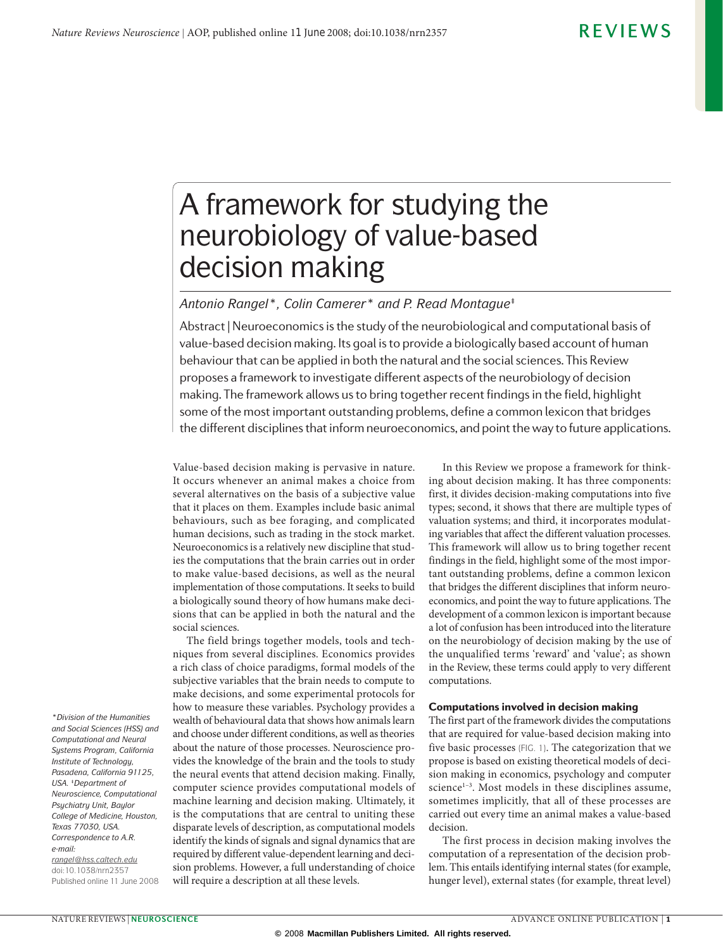# A framework for studying the neurobiology of value-based decision making

#### *Antonio Rangel\*, Colin Camerer\* and P. Read Montague‡*

Abstract | Neuroeconomics is the study of the neurobiological and computational basis of value-based decision making. Its goal is to provide a biologically based account of human behaviour that can be applied in both the natural and the social sciences. This Review proposes a framework to investigate different aspects of the neurobiology of decision making. The framework allows us to bring together recent findings in the field, highlight some of the most important outstanding problems, define a common lexicon that bridges the different disciplines that inform neuroeconomics, and point the way to future applications.

Value-based decision making is pervasive in nature. It occurs whenever an animal makes a choice from several alternatives on the basis of a subjective value that it places on them. Examples include basic animal behaviours, such as bee foraging, and complicated human decisions, such as trading in the stock market. Neuroeconomics is a relatively new discipline that studies the computations that the brain carries out in order to make value-based decisions, as well as the neural implementation of those computations. It seeks to build a biologically sound theory of how humans make decisions that can be applied in both the natural and the social sciences.

The field brings together models, tools and techniques from several disciplines. Economics provides a rich class of choice paradigms, formal models of the subjective variables that the brain needs to compute to make decisions, and some experimental protocols for how to measure these variables. Psychology provides a wealth of behavioural data that shows how animals learn and choose under different conditions, as well as theories about the nature of those processes. Neuroscience provides the knowledge of the brain and the tools to study the neural events that attend decision making. Finally, computer science provides computational models of machine learning and decision making. Ultimately, it is the computations that are central to uniting these disparate levels of description, as computational models identify the kinds of signals and signal dynamics that are required by different value-dependent learning and decision problems. However, a full understanding of choice will require a description at all these levels.

In this Review we propose a framework for thinking about decision making. It has three components: first, it divides decision-making computations into five types; second, it shows that there are multiple types of valuation systems; and third, it incorporates modulating variables that affect the different valuation processes. This framework will allow us to bring together recent findings in the field, highlight some of the most important outstanding problems, define a common lexicon that bridges the different disciplines that inform neuroeconomics, and point the way to future applications. The development of a common lexicon is important because a lot of confusion has been introduced into the literature on the neurobiology of decision making by the use of the unqualified terms 'reward' and 'value'; as shown in the Review, these terms could apply to very different computations.

#### Computations involved in decision making

The first part of the framework divides the computations that are required for value-based decision making into five basic processes (FIG. 1). The categorization that we propose is based on existing theoretical models of decision making in economics, psychology and computer science $1-3$ . Most models in these disciplines assume, sometimes implicitly, that all of these processes are carried out every time an animal makes a value-based decision.

The first process in decision making involves the computation of a representation of the decision problem. This entails identifying internal states (for example, hunger level), external states (for example, threat level)

*\*Division of the Humanities and Social Sciences (HSS) and Computational and Neural Systems Program, California Institute of Technology, Pasadena, California 91125, USA. ‡Department of Neuroscience, Computational Psychiatry Unit, Baylor College of Medicine, Houston, Texas 77030, USA. Correspondence to A.R. e-mail: [rangel@hss.caltech.edu](mailto: rangel@hss.caltech.edu)* doi:10.1038/nrn2357

Published online 11 June 2008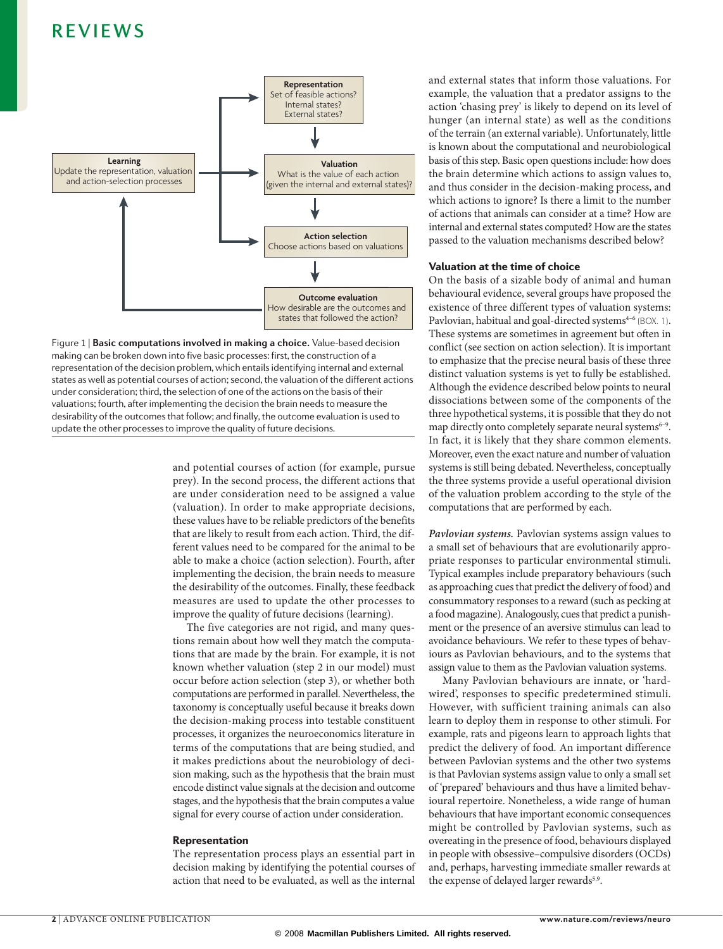

representation of the decision problem, which entails identifying internal and external Figure 1 | **Basic computations involved in making a choice.** Value-based decision making can be broken down into five basic processes: first, the construction of a states as well as potential courses of action; second, the valuation of the different actions under consideration; third, the selection of one of the actions on the basis of their valuations; fourth, after implementing the decision the brain needs to measure the desirability of the outcomes that follow; and finally, the outcome evaluation is used to update the other processes to improve the quality of future decisions.

and potential courses of action (for example, pursue prey). In the second process, the different actions that are under consideration need to be assigned a value (valuation). In order to make appropriate decisions, these values have to be reliable predictors of the benefits that are likely to result from each action. Third, the different values need to be compared for the animal to be able to make a choice (action selection). Fourth, after implementing the decision, the brain needs to measure the desirability of the outcomes. Finally, these feedback measures are used to update the other processes to improve the quality of future decisions (learning).

The five categories are not rigid, and many questions remain about how well they match the computations that are made by the brain. For example, it is not known whether valuation (step 2 in our model) must occur before action selection (step 3), or whether both computations are performed in parallel. Nevertheless, the taxonomy is conceptually useful because it breaks down the decision-making process into testable constituent processes, it organizes the neuroeconomics literature in terms of the computations that are being studied, and it makes predictions about the neurobiology of decision making, such as the hypothesis that the brain must encode distinct value signals at the decision and outcome stages, and the hypothesis that the brain computes a value signal for every course of action under consideration.

#### Representation

The representation process plays an essential part in decision making by identifying the potential courses of action that need to be evaluated, as well as the internal

and external states that inform those valuations. For example, the valuation that a predator assigns to the action 'chasing prey' is likely to depend on its level of hunger (an internal state) as well as the conditions of the terrain (an external variable). Unfortunately, little is known about the computational and neurobiological basis of this step. Basic open questions include: how does the brain determine which actions to assign values to, and thus consider in the decision-making process, and which actions to ignore? Is there a limit to the number of actions that animals can consider at a time? How are internal and external states computed? How are the states passed to the valuation mechanisms described below?

#### Valuation at the time of choice

On the basis of a sizable body of animal and human behavioural evidence, several groups have proposed the existence of three different types of valuation systems: Pavlovian, habitual and goal-directed systems<sup>4-6</sup> (BOX. 1). These systems are sometimes in agreement but often in conflict (see section on action selection). It is important to emphasize that the precise neural basis of these three distinct valuation systems is yet to fully be established. Although the evidence described below points to neural dissociations between some of the components of the three hypothetical systems, it is possible that they do not map directly onto completely separate neural systems<sup>6-9</sup>. In fact, it is likely that they share common elements. Moreover, even the exact nature and number of valuation systems is still being debated. Nevertheless, conceptually the three systems provide a useful operational division of the valuation problem according to the style of the computations that are performed by each.

*Pavlovian systems.* Pavlovian systems assign values to a small set of behaviours that are evolutionarily appropriate responses to particular environmental stimuli. Typical examples include preparatory behaviours (such as approaching cues that predict the delivery of food) and consummatory responses to a reward (such as pecking at a food magazine). Analogously, cues that predict a punishment or the presence of an aversive stimulus can lead to avoidance behaviours. We refer to these types of behaviours as Pavlovian behaviours, and to the systems that assign value to them as the Pavlovian valuation systems.

Many Pavlovian behaviours are innate, or 'hardwired', responses to specific predetermined stimuli. However, with sufficient training animals can also learn to deploy them in response to other stimuli. For example, rats and pigeons learn to approach lights that predict the delivery of food. An important difference between Pavlovian systems and the other two systems is that Pavlovian systems assign value to only a small set of 'prepared' behaviours and thus have a limited behavioural repertoire. Nonetheless, a wide range of human behaviours that have important economic consequences might be controlled by Pavlovian systems, such as overeating in the presence of food, behaviours displayed in people with obsessive–compulsive disorders (OCDs) and, perhaps, harvesting immediate smaller rewards at the expense of delayed larger rewards<sup>5,9</sup>.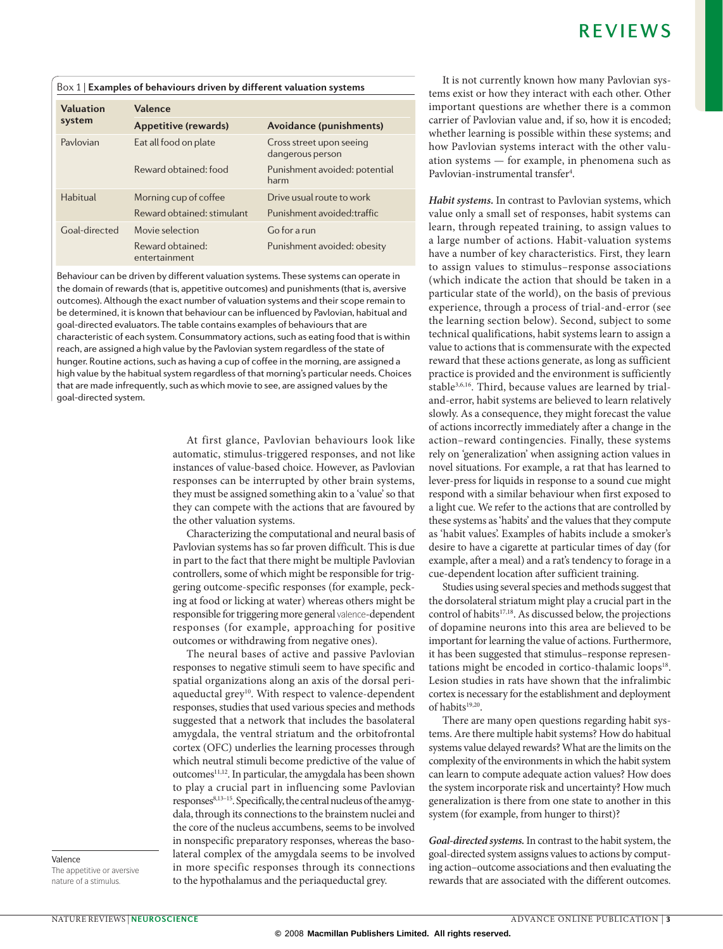| Box 1   Examples of behaviours driven by different valuation systems |                                   |                                              |  |  |
|----------------------------------------------------------------------|-----------------------------------|----------------------------------------------|--|--|
| <b>Valuation</b><br>system                                           | Valence                           |                                              |  |  |
|                                                                      | <b>Appetitive (rewards)</b>       | Avoidance (punishments)                      |  |  |
| Paylovian                                                            | Eat all food on plate             | Cross street upon seeing<br>dangerous person |  |  |
|                                                                      | Reward obtained: food             | Punishment avoided: potential<br>harm        |  |  |
| <b>Habitual</b>                                                      | Morning cup of coffee             | Drive usual route to work                    |  |  |
|                                                                      | Reward obtained: stimulant        | Punishment avoided:traffic                   |  |  |
| Goal-directed                                                        | Movie selection                   | Go for a run                                 |  |  |
|                                                                      | Reward obtained:<br>entertainment | Punishment avoided: obesity                  |  |  |

Behaviour can be driven by different valuation systems. These systems can operate in the domain of rewards (that is, appetitive outcomes) and punishments (that is, aversive outcomes). Although the exact number of valuation systems and their scope remain to be determined, it is known that behaviour can be influenced by Pavlovian, habitual and goal-directed evaluators. The table contains examples of behaviours that are characteristic of each system. Consummatory actions, such as eating food that is within reach, are assigned a high value by the Pavlovian system regardless of the state of hunger. Routine actions, such as having a cup of coffee in the morning, are assigned a high value by the habitual system regardless of that morning's particular needs. Choices that are made infrequently, such as which movie to see, are assigned values by the goal-directed system.

> At first glance, Pavlovian behaviours look like automatic, stimulus-triggered responses, and not like instances of value-based choice. However, as Pavlovian responses can be interrupted by other brain systems, they must be assigned something akin to a 'value' so that they can compete with the actions that are favoured by the other valuation systems.

> Characterizing the computational and neural basis of Pavlovian systems has so far proven difficult. This is due in part to the fact that there might be multiple Pavlovian controllers, some of which might be responsible for triggering outcome-specific responses (for example, pecking at food or licking at water) whereas others might be responsible for triggering more general valence-dependent responses (for example, approaching for positive outcomes or withdrawing from negative ones).

> The neural bases of active and passive Pavlovian responses to negative stimuli seem to have specific and spatial organizations along an axis of the dorsal periaqueductal grey<sup>10</sup>. With respect to valence-dependent responses, studies that used various species and methods suggested that a network that includes the basolateral amygdala, the ventral striatum and the orbitofrontal cortex (OFC) underlies the learning processes through which neutral stimuli become predictive of the value of outcomes<sup>11,12</sup>. In particular, the amygdala has been shown to play a crucial part in influencing some Pavlovian responses<sup>8,13-15</sup>. Specifically, the central nucleus of the amygdala, through its connections to the brainstem nuclei and the core of the nucleus accumbens, seems to be involved in nonspecific preparatory responses, whereas the basolateral complex of the amygdala seems to be involved in more specific responses through its connections to the hypothalamus and the periaqueductal grey.

It is not currently known how many Pavlovian systems exist or how they interact with each other. Other important questions are whether there is a common carrier of Pavlovian value and, if so, how it is encoded; whether learning is possible within these systems; and how Pavlovian systems interact with the other valuation systems — for example, in phenomena such as Pavlovian-instrumental transfer<sup>4</sup>.

*Habit systems.* In contrast to Pavlovian systems, which value only a small set of responses, habit systems can learn, through repeated training, to assign values to a large number of actions. Habit-valuation systems have a number of key characteristics. First, they learn to assign values to stimulus–response associations (which indicate the action that should be taken in a particular state of the world), on the basis of previous experience, through a process of trial-and-error (see the learning section below). Second, subject to some technical qualifications, habit systems learn to assign a value to actions that is commensurate with the expected reward that these actions generate, as long as sufficient practice is provided and the environment is sufficiently stable<sup>3,6,16</sup>. Third, because values are learned by trialand-error, habit systems are believed to learn relatively slowly. As a consequence, they might forecast the value of actions incorrectly immediately after a change in the action–reward contingencies. Finally, these systems rely on 'generalization' when assigning action values in novel situations. For example, a rat that has learned to lever-press for liquids in response to a sound cue might respond with a similar behaviour when first exposed to a light cue. We refer to the actions that are controlled by these systems as 'habits' and the values that they compute as 'habit values'. Examples of habits include a smoker's desire to have a cigarette at particular times of day (for example, after a meal) and a rat's tendency to forage in a cue-dependent location after sufficient training.

Studies using several species and methods suggest that the dorsolateral striatum might play a crucial part in the control of habits<sup>17,18</sup>. As discussed below, the projections of dopamine neurons into this area are believed to be important for learning the value of actions. Furthermore, it has been suggested that stimulus–response representations might be encoded in cortico-thalamic loops<sup>18</sup>. Lesion studies in rats have shown that the infralimbic cortex is necessary for the establishment and deployment of habits<sup>19,20</sup>.

There are many open questions regarding habit systems. Are there multiple habit systems? How do habitual systems value delayed rewards? What are the limits on the complexity of the environments in which the habit system can learn to compute adequate action values? How does the system incorporate risk and uncertainty? How much generalization is there from one state to another in this system (for example, from hunger to thirst)?

*Goal-directed systems.* In contrast to the habit system, the goal-directed system assigns values to actions by computing action–outcome associations and then evaluating the rewards that are associated with the different outcomes.

The appetitive or aversive

Valence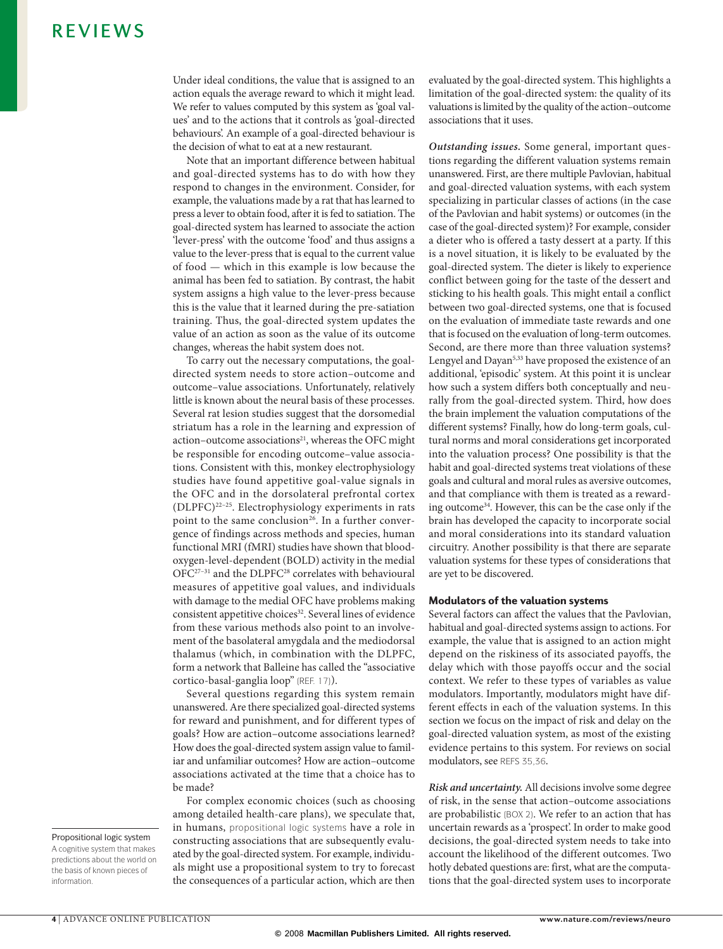Under ideal conditions, the value that is assigned to an action equals the average reward to which it might lead. We refer to values computed by this system as 'goal values' and to the actions that it controls as 'goal-directed behaviours'. An example of a goal-directed behaviour is the decision of what to eat at a new restaurant.

Note that an important difference between habitual and goal-directed systems has to do with how they respond to changes in the environment. Consider, for example, the valuations made by a rat that has learned to press a lever to obtain food, after it is fed to satiation. The goal-directed system has learned to associate the action 'lever-press' with the outcome 'food' and thus assigns a value to the lever-press that is equal to the current value of food — which in this example is low because the animal has been fed to satiation. By contrast, the habit system assigns a high value to the lever-press because this is the value that it learned during the pre-satiation training. Thus, the goal-directed system updates the value of an action as soon as the value of its outcome changes, whereas the habit system does not.

To carry out the necessary computations, the goaldirected system needs to store action–outcome and outcome–value associations. Unfortunately, relatively little is known about the neural basis of these processes. Several rat lesion studies suggest that the dorsomedial striatum has a role in the learning and expression of action-outcome associations<sup>21</sup>, whereas the OFC might be responsible for encoding outcome–value associations. Consistent with this, monkey electrophysiology studies have found appetitive goal-value signals in the OFC and in the dorsolateral prefrontal cortex (DLPFC)22–25. Electrophysiology experiments in rats point to the same conclusion<sup>26</sup>. In a further convergence of findings across methods and species, human functional MRI (fMRI) studies have shown that bloodoxygen-level-dependent (BOLD) activity in the medial OFC27–31 and the DLPFC28 correlates with behavioural measures of appetitive goal values, and individuals with damage to the medial OFC have problems making consistent appetitive choices<sup>32</sup>. Several lines of evidence from these various methods also point to an involvement of the basolateral amygdala and the mediodorsal thalamus (which, in combination with the DLPFC, form a network that Balleine has called the "associative cortico-basal-ganglia loop" (Ref. 17)).

Several questions regarding this system remain unanswered. Are there specialized goal-directed systems for reward and punishment, and for different types of goals? How are action–outcome associations learned? How does the goal-directed system assign value to familiar and unfamiliar outcomes? How are action–outcome associations activated at the time that a choice has to be made?

For complex economic choices (such as choosing among detailed health-care plans), we speculate that, in humans, propositional logic systems have a role in constructing associations that are subsequently evaluated by the goal-directed system. For example, individuals might use a propositional system to try to forecast the consequences of a particular action, which are then

evaluated by the goal-directed system. This highlights a limitation of the goal-directed system: the quality of its valuations is limited by the quality of the action–outcome associations that it uses.

*Outstanding issues.* Some general, important questions regarding the different valuation systems remain unanswered. First, are there multiple Pavlovian, habitual and goal-directed valuation systems, with each system specializing in particular classes of actions (in the case of the Pavlovian and habit systems) or outcomes (in the case of the goal-directed system)? For example, consider a dieter who is offered a tasty dessert at a party. If this is a novel situation, it is likely to be evaluated by the goal-directed system. The dieter is likely to experience conflict between going for the taste of the dessert and sticking to his health goals. This might entail a conflict between two goal-directed systems, one that is focused on the evaluation of immediate taste rewards and one that is focused on the evaluation of long-term outcomes. Second, are there more than three valuation systems? Lengyel and Dayan<sup>5,33</sup> have proposed the existence of an additional, 'episodic' system. At this point it is unclear how such a system differs both conceptually and neurally from the goal-directed system. Third, how does the brain implement the valuation computations of the different systems? Finally, how do long-term goals, cultural norms and moral considerations get incorporated into the valuation process? One possibility is that the habit and goal-directed systems treat violations of these goals and cultural and moral rules as aversive outcomes, and that compliance with them is treated as a rewarding outcome34. However, this can be the case only if the brain has developed the capacity to incorporate social and moral considerations into its standard valuation circuitry. Another possibility is that there are separate valuation systems for these types of considerations that are yet to be discovered.

#### Modulators of the valuation systems

Several factors can affect the values that the Pavlovian, habitual and goal-directed systems assign to actions. For example, the value that is assigned to an action might depend on the riskiness of its associated payoffs, the delay which with those payoffs occur and the social context. We refer to these types of variables as value modulators. Importantly, modulators might have different effects in each of the valuation systems. In this section we focus on the impact of risk and delay on the goal-directed valuation system, as most of the existing evidence pertains to this system. For reviews on social modulators, see REFS 35,36.

*Risk and uncertainty.* All decisions involve some degree of risk, in the sense that action–outcome associations are probabilistic (BOX 2). We refer to an action that has uncertain rewards as a 'prospect'. In order to make good decisions, the goal-directed system needs to take into account the likelihood of the different outcomes. Two hotly debated questions are: first, what are the computations that the goal-directed system uses to incorporate

#### Propositional logic system

A cognitive system that makes predictions about the world on the basis of known pieces of information.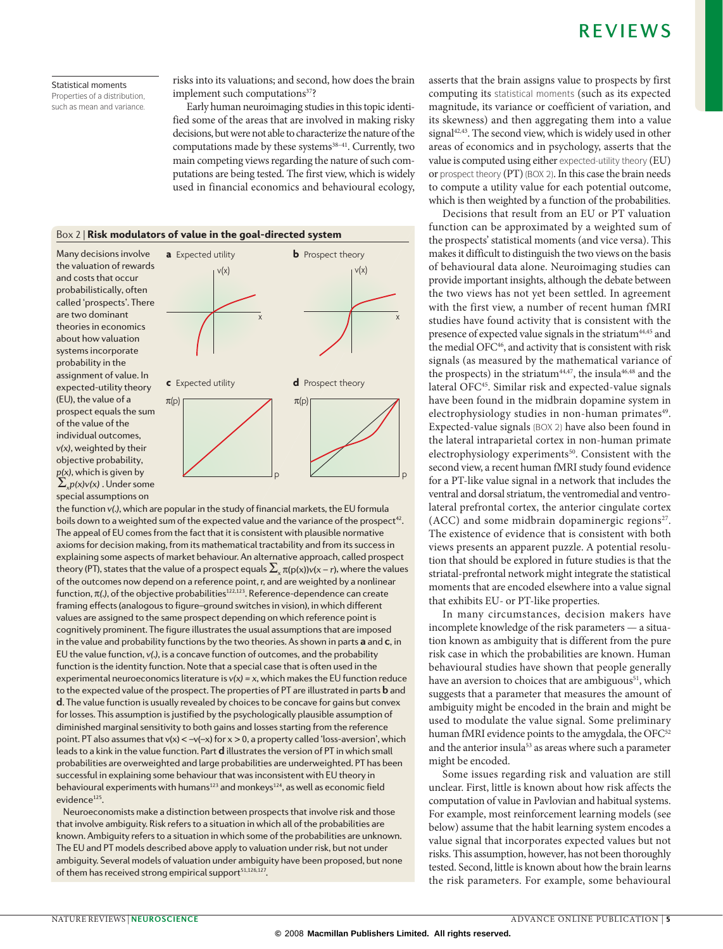#### Statistical moments

Properties of a distribution, such as mean and variance. risks into its valuations; and second, how does the brain implement such computations<sup>37</sup>?

Early human neuroimaging studies in this topic identified some of the areas that are involved in making risky decisions, but were not able to characterize the nature of the computations made by these systems<sup>38-41</sup>. Currently, two main competing views regarding the nature of such computations are being tested. The first view, which is widely used in financial economics and behavioural ecology,



the function *v(.)*, which are popular in the study of financial markets, the EU formula axioms for decision making, from its mathematical tractability and from its success in boils down to a weighted sum of the expected value and the variance of the prospect<sup>42</sup>. The appeal of EU comes from the fact that it is consistent with plausible normative explaining some aspects of market behaviour. An alternative approach, called prospect theory (PT), states that the value of a prospect equals  $\sum_{x} \pi(p(x))v(x-r)$ , where the values in the value and probability functions by the two theories. As shown in parts **a** and **c**, in of the outcomes now depend on a reference point, r, and are weighted by a nonlinear function, π(.), of the objective probabilities<sup>122,123</sup>. Reference-dependence can create framing effects (analogous to figure–ground switches in vision), in which different values are assigned to the same prospect depending on which reference point is cognitively prominent. The figure illustrates the usual assumptions that are imposed EU the value function, *v(.)*, is a concave function of outcomes, and the probability function is the identity function. Note that a special case that is often used in the experimental neuroeconomics literature is *v(x) = x*, which makes the EU function reduce to the expected value of the prospect. The properties of PT are illustrated in parts **b** and **d**. The value function is usually revealed by choices to be concave for gains but convex for losses. This assumption is justified by the psychologically plausible assumption of diminished marginal sensitivity to both gains and losses starting from the reference point. PT also assumes that  $v(x) < -v(-x)$  for  $x > 0$ , a property called 'loss-aversion', which leads to a kink in the value function. Part **d** illustrates the version of PT in which small probabilities are overweighted and large probabilities are underweighted. PT has been successful in explaining some behaviour that was inconsistent with EU theory in behavioural experiments with humans<sup>123</sup> and monkeys<sup>124</sup>, as well as economic field evidence<sup>125</sup>.

> Neuroeconomists make a distinction between prospects that involve risk and those that involve ambiguity. Risk refers to a situation in which all of the probabilities are known. Ambiguity refers to a situation in which some of the probabilities are unknown. The EU and PT models described above apply to valuation under risk, but not under ambiguity. Several models of valuation under ambiguity have been proposed, but none of them has received strong empirical support<sup>51,126,127</sup>.

asserts that the brain assigns value to prospects by first computing its statistical moments (such as its expected magnitude, its variance or coefficient of variation, and its skewness) and then aggregating them into a value signal<sup>42,43</sup>. The second view, which is widely used in other areas of economics and in psychology, asserts that the value is computed using either expected-utility theory (EU) or prospect theory (PT) (BOX 2). In this case the brain needs to compute a utility value for each potential outcome, which is then weighted by a function of the probabilities.

Decisions that result from an EU or PT valuation function can be approximated by a weighted sum of the prospects' statistical moments (and vice versa). This makes it difficult to distinguish the two views on the basis of behavioural data alone. Neuroimaging studies can provide important insights, although the debate between the two views has not yet been settled. In agreement with the first view, a number of recent human fMRI studies have found activity that is consistent with the presence of expected value signals in the striatum<sup>44,45</sup> and the medial OFC<sup>46</sup>, and activity that is consistent with risk signals (as measured by the mathematical variance of the prospects) in the striatum<sup>44,47</sup>, the insula<sup>46,48</sup> and the lateral OFC45. Similar risk and expected-value signals have been found in the midbrain dopamine system in electrophysiology studies in non-human primates<sup>49</sup>. Expected-value signals (BOX 2) have also been found in the lateral intraparietal cortex in non-human primate electrophysiology experiments<sup>50</sup>. Consistent with the second view, a recent human fMRI study found evidence for a PT-like value signal in a network that includes the ventral and dorsal striatum, the ventromedial and ventrolateral prefrontal cortex, the anterior cingulate cortex  $(ACC)$  and some midbrain dopaminergic regions<sup>27</sup>. The existence of evidence that is consistent with both views presents an apparent puzzle. A potential resolution that should be explored in future studies is that the striatal-prefrontal network might integrate the statistical moments that are encoded elsewhere into a value signal that exhibits EU- or PT-like properties.

In many circumstances, decision makers have incomplete knowledge of the risk parameters — a situation known as ambiguity that is different from the pure risk case in which the probabilities are known. Human behavioural studies have shown that people generally have an aversion to choices that are ambiguous<sup>51</sup>, which suggests that a parameter that measures the amount of ambiguity might be encoded in the brain and might be used to modulate the value signal. Some preliminary human fMRI evidence points to the amygdala, the OFC<sup>52</sup> and the anterior insula<sup>53</sup> as areas where such a parameter might be encoded.

Some issues regarding risk and valuation are still unclear. First, little is known about how risk affects the computation of value in Pavlovian and habitual systems. For example, most reinforcement learning models (see below) assume that the habit learning system encodes a value signal that incorporates expected values but not risks. This assumption, however, has not been thoroughly tested. Second, little is known about how the brain learns the risk parameters. For example, some behavioural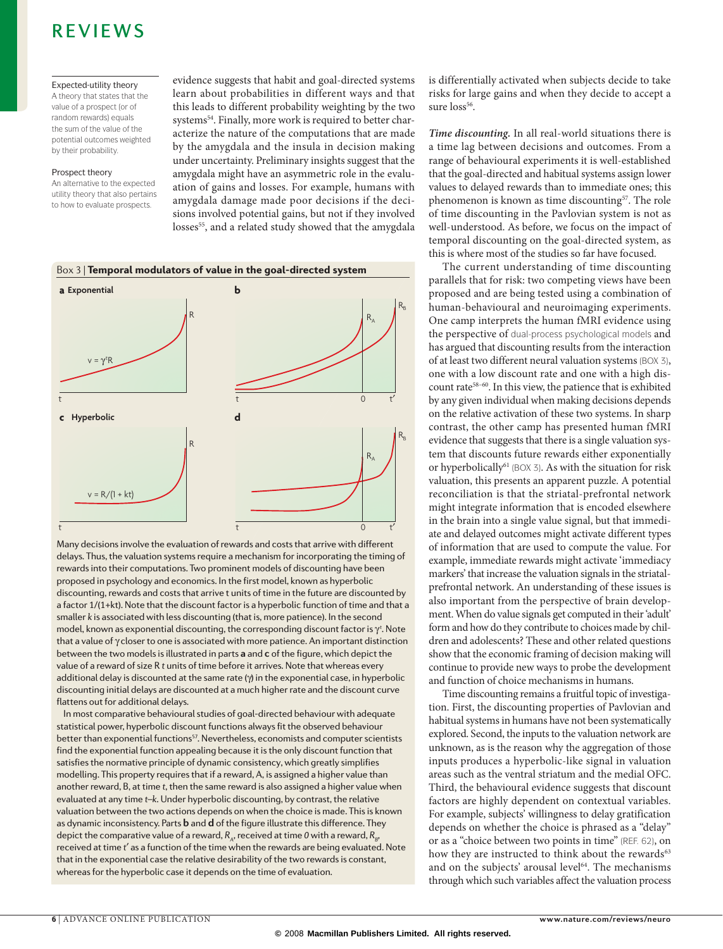#### Expected-utility theory

A theory that states that the value of a prospect (or of random rewards) equals the sum of the value of the potential outcomes weighted by their probability.

#### Prospect theory

An alternative to the expected utility theory that also pertains to how to evaluate prospects.

evidence suggests that habit and goal-directed systems learn about probabilities in different ways and that this leads to different probability weighting by the two systems<sup>54</sup>. Finally, more work is required to better characterize the nature of the computations that are made by the amygdala and the insula in decision making under uncertainty. Preliminary insights suggest that the amygdala might have an asymmetric role in the evaluation of gains and losses. For example, humans with amygdala damage made poor decisions if the decisions involved potential gains, but not if they involved losses<sup>55</sup>, and a related study showed that the amygdala





**Nature Reviews** | **Neuroscience** delays. Thus, the valuation systems require a mechanism for incorporating the timing of Many decisions involve the evaluation of rewards and costs that arrive with different rewards into their computations. Two prominent models of discounting have been proposed in psychology and economics. In the first model, known as hyperbolic discounting, rewards and costs that arrive t units of time in the future are discounted by a factor 1/(1+kt). Note that the discount factor is a hyperbolic function of time and that a smaller *k* is associated with less discounting (that is, more patience). In the second model, known as exponential discounting, the corresponding discount factor is  $\gamma$ <sup>t</sup>. Note that a value of  $\gamma$  closer to one is associated with more patience. An important distinction between the two models is illustrated in parts **a** and **c** of the figure, which depict the value of a reward of size R *t* units of time before it arrives. Note that whereas every additional delay is discounted at the same rate  $(\gamma)$  in the exponential case, in hyperbolic discounting initial delays are discounted at a much higher rate and the discount curve flattens out for additional delays.

In most comparative behavioural studies of goal-directed behaviour with adequate statistical power, hyperbolic discount functions always fit the observed behaviour better than exponential functions<sup>57</sup>. Nevertheless, economists and computer scientists find the exponential function appealing because it is the only discount function that satisfies the normative principle of dynamic consistency, which greatly simplifies modelling. This property requires that if a reward, A, is assigned a higher value than another reward, B, at time *t*, then the same reward is also assigned a higher value when evaluated at any time *t*–*k*. Under hyperbolic discounting, by contrast, the relative valuation between the two actions depends on when the choice is made. This is known as dynamic inconsistency. Parts **b** and **d** of the figure illustrate this difference. They depict the comparative value of a reward,  $R_{_A}$ , received at time 0 with a reward,  $R_{_B}$ , received at time *t*′ as a function of the time when the rewards are being evaluated. Note that in the exponential case the relative desirability of the two rewards is constant, whereas for the hyperbolic case it depends on the time of evaluation.

is differentially activated when subjects decide to take risks for large gains and when they decide to accept a sure loss<sup>56</sup>.

*Time discounting.* In all real-world situations there is a time lag between decisions and outcomes. From a range of behavioural experiments it is well-established that the goal-directed and habitual systems assign lower values to delayed rewards than to immediate ones; this phenomenon is known as time discounting<sup>57</sup>. The role of time discounting in the Pavlovian system is not as well-understood. As before, we focus on the impact of temporal discounting on the goal-directed system, as this is where most of the studies so far have focused.

The current understanding of time discounting parallels that for risk: two competing views have been proposed and are being tested using a combination of human-behavioural and neuroimaging experiments. One camp interprets the human fMRI evidence using the perspective of dual-process psychological models and has argued that discounting results from the interaction of at least two different neural valuation systems (BOX 3), one with a low discount rate and one with a high discount rate<sup>58-60</sup>. In this view, the patience that is exhibited by any given individual when making decisions depends on the relative activation of these two systems. In sharp contrast, the other camp has presented human fMRI evidence that suggests that there is a single valuation system that discounts future rewards either exponentially or hyperbolically<sup>61</sup> (BOX 3). As with the situation for risk valuation, this presents an apparent puzzle. A potential reconciliation is that the striatal-prefrontal network might integrate information that is encoded elsewhere in the brain into a single value signal, but that immediate and delayed outcomes might activate different types of information that are used to compute the value. For example, immediate rewards might activate 'immediacy markers' that increase the valuation signals in the striatalprefrontal network. An understanding of these issues is also important from the perspective of brain development. When do value signals get computed in their 'adult' form and how do they contribute to choices made by children and adolescents? These and other related questions show that the economic framing of decision making will continue to provide new ways to probe the development and function of choice mechanisms in humans.

Time discounting remains a fruitful topic of investigation. First, the discounting properties of Pavlovian and habitual systems in humans have not been systematically explored. Second, the inputs to the valuation network are unknown, as is the reason why the aggregation of those inputs produces a hyperbolic-like signal in valuation areas such as the ventral striatum and the medial OFC. Third, the behavioural evidence suggests that discount factors are highly dependent on contextual variables. For example, subjects' willingness to delay gratification depends on whether the choice is phrased as a "delay" or as a "choice between two points in time" (Ref. 62), on how they are instructed to think about the rewards<sup>63</sup> and on the subjects' arousal level<sup>64</sup>. The mechanisms through which such variables affect the valuation process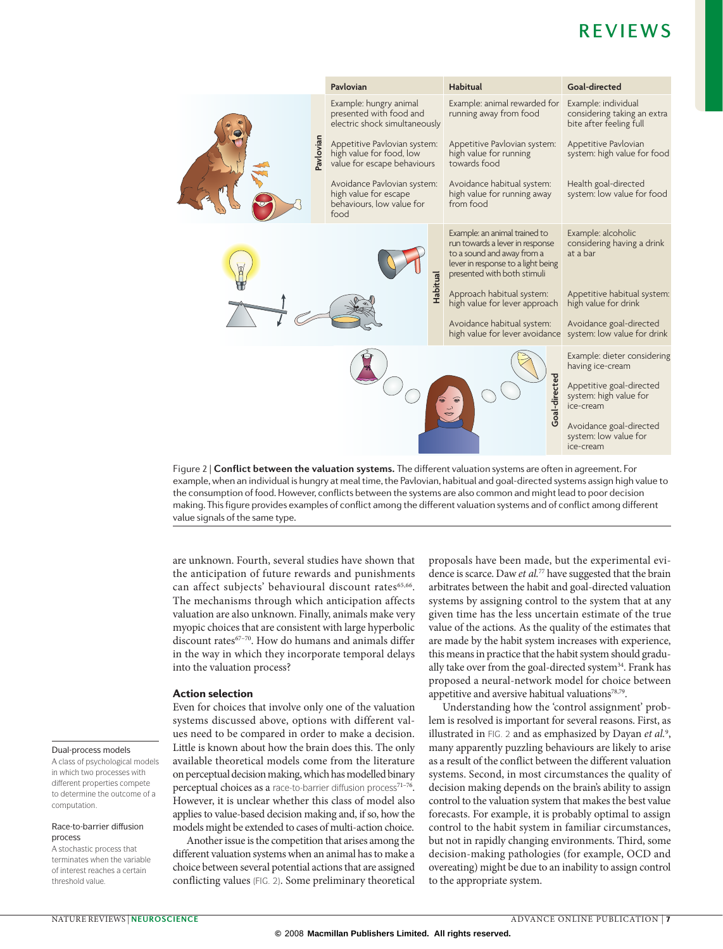|                                                                                                                                                                                                                                                                                                                                                                 | Pavlovian                                                                                 | Habitual                                                                                                                                                            | Goal-directed                                                                 |  |
|-----------------------------------------------------------------------------------------------------------------------------------------------------------------------------------------------------------------------------------------------------------------------------------------------------------------------------------------------------------------|-------------------------------------------------------------------------------------------|---------------------------------------------------------------------------------------------------------------------------------------------------------------------|-------------------------------------------------------------------------------|--|
|                                                                                                                                                                                                                                                                                                                                                                 | Example: hungry animal<br>presented with food and<br>electric shock simultaneously        | Example: animal rewarded for<br>running away from food                                                                                                              | Example: individual<br>considering taking an extra<br>bite after feeling full |  |
| nsivolvs <sup>c</sup>                                                                                                                                                                                                                                                                                                                                           | Appetitive Pavlovian system:<br>high value for food, low<br>value for escape behaviours   | Appetitive Pavlovian system:<br>high value for running<br>towards food                                                                                              | Appetitive Pavlovian<br>system: high value for food                           |  |
|                                                                                                                                                                                                                                                                                                                                                                 | Avoidance Pavlovian system:<br>high value for escape<br>behaviours, low value for<br>food | Avoidance habitual system:<br>high value for running away<br>from food                                                                                              | Health goal-directed<br>system: low value for food                            |  |
|                                                                                                                                                                                                                                                                                                                                                                 |                                                                                           | Example: an animal trained to<br>run towards a lever in response<br>to a sound and away from a<br>lever in response to a light being<br>presented with both stimuli | Example: alcoholic<br>considering having a drink<br>at a bar                  |  |
|                                                                                                                                                                                                                                                                                                                                                                 | <b>Habitual</b>                                                                           | Approach habitual system:<br>high value for lever approach                                                                                                          | Appetitive habitual system:<br>high value for drink                           |  |
|                                                                                                                                                                                                                                                                                                                                                                 |                                                                                           | Avoidance habitual system:<br>high value for lever avoidance                                                                                                        | Avoidance goal-directed<br>system: low value for drink                        |  |
|                                                                                                                                                                                                                                                                                                                                                                 |                                                                                           |                                                                                                                                                                     | Example: dieter considering<br>having ice-cream                               |  |
|                                                                                                                                                                                                                                                                                                                                                                 |                                                                                           | Goal-directed                                                                                                                                                       | Appetitive goal-directed<br>system: high value for<br>ice-cream               |  |
|                                                                                                                                                                                                                                                                                                                                                                 |                                                                                           |                                                                                                                                                                     | Avoidance goal-directed<br>system: low value for<br>ice-cream                 |  |
| Figure 2   Conflict between the valuation systems. The different valuation systems are often in agreement. For<br>example, when an individual is hungry at meal time, the Pavlovian, habitual and goal-directed systems assign high value to<br>the consumption of food. However, conflicts between the systems are also common and might load to poor decision |                                                                                           |                                                                                                                                                                     |                                                                               |  |

example, when an individual is hungry at meal time, the Pavlovian, habitual and goal-directed systems assign high value to the consumption of food. However, conflicts between the systems are also common and might lead to poor decision making. This figure provides examples of conflict among the different valuation systems and of conflict among different value signals of the same type.

are unknown. Fourth, several studies have shown that the anticipation of future rewards and punishments can affect subjects' behavioural discount rates<sup>65,66</sup>. The mechanisms through which anticipation affects valuation are also unknown. Finally, animals make very myopic choices that are consistent with large hyperbolic discount rates<sup>67-70</sup>. How do humans and animals differ in the way in which they incorporate temporal delays into the valuation process?

#### Action selection

Even for choices that involve only one of the valuation systems discussed above, options with different values need to be compared in order to make a decision. Little is known about how the brain does this. The only available theoretical models come from the literature on perceptual decision making, which has modelled binary perceptual choices as a race-to-barrier diffusion process $71-76$ . However, it is unclear whether this class of model also applies to value-based decision making and, if so, how the models might be extended to cases of multi-action choice.

Another issue is the competition that arises among the different valuation systems when an animal has to make a choice between several potential actions that are assigned conflicting values (FIG. 2). Some preliminary theoretical

proposals have been made, but the experimental evidence is scarce. Daw *et al.*77 have suggested that the brain arbitrates between the habit and goal-directed valuation systems by assigning control to the system that at any given time has the less uncertain estimate of the true value of the actions. As the quality of the estimates that are made by the habit system increases with experience, this means in practice that the habit system should gradually take over from the goal-directed system<sup>34</sup>. Frank has proposed a neural-network model for choice between appetitive and aversive habitual valuations<sup>78,79</sup>.

Understanding how the 'control assignment' problem is resolved is important for several reasons. First, as illustrated in FIG. 2 and as emphasized by Dayan et al.<sup>9</sup>, many apparently puzzling behaviours are likely to arise as a result of the conflict between the different valuation systems. Second, in most circumstances the quality of decision making depends on the brain's ability to assign control to the valuation system that makes the best value forecasts. For example, it is probably optimal to assign control to the habit system in familiar circumstances, but not in rapidly changing environments. Third, some decision-making pathologies (for example, OCD and overeating) might be due to an inability to assign control to the appropriate system.

#### Dual-process models

A class of psychological models in which two processes with different properties compete to determine the outcome of a computation.

#### Race-to-barrier diffusion process

A stochastic process that terminates when the variable of interest reaches a certain threshold value.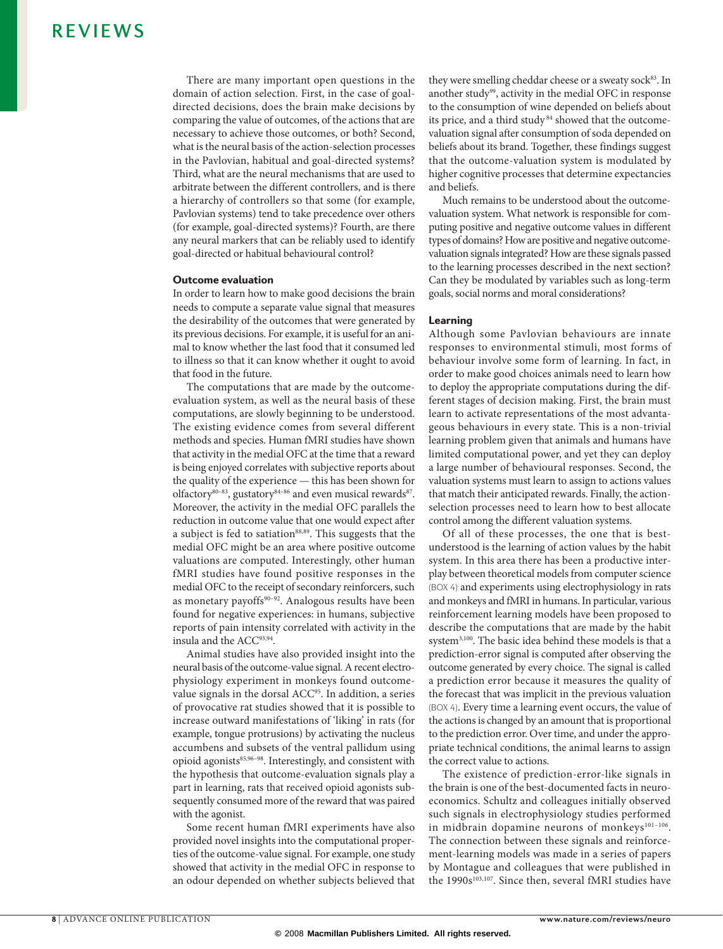There are many important open questions in the domain of action selection. First, in the case of goaldirected decisions, does the brain make decisions by comparing the value of outcomes, of the actions that are necessary to achieve those outcomes, or both? Second, what is the neural basis of the action-selection processes in the Pavlovian, habitual and goal-directed systems? Third, what are the neural mechanisms that are used to arbitrate between the different controllers, and is there a hierarchy of controllers so that some (for example, Pavlovian systems) tend to take precedence over others (for example, goal-directed systems)? Fourth, are there any neural markers that can be reliably used to identify goal-directed or habitual behavioural control?

#### Outcome evaluation

In order to learn how to make good decisions the brain needs to compute a separate value signal that measures the desirability of the outcomes that were generated by its previous decisions. For example, it is useful for an animal to know whether the last food that it consumed led to illness so that it can know whether it ought to avoid that food in the future.

The computations that are made by the outcomeevaluation system, as well as the neural basis of these computations, are slowly beginning to be understood. The existing evidence comes from several different methods and species. Human fMRI studies have shown that activity in the medial OFC at the time that a reward is being enjoyed correlates with subjective reports about the quality of the experience — this has been shown for olfactory<sup>80-83</sup>, gustatory<sup>84-86</sup> and even musical rewards<sup>87</sup>. Moreover, the activity in the medial OFC parallels the reduction in outcome value that one would expect after a subject is fed to satiation<sup>88,89</sup>. This suggests that the medial OFC might be an area where positive outcome valuations are computed. Interestingly, other human fMRI studies have found positive responses in the medial OFC to the receipt of secondary reinforcers, such as monetary payoffs<sup>90-92</sup>. Analogous results have been found for negative experiences: in humans, subjective reports of pain intensity correlated with activity in the insula and the ACC<sup>93,94</sup>.

Animal studies have also provided insight into the neural basis of the outcome-value signal. A recent electrophysiology experiment in monkeys found outcomevalue signals in the dorsal ACC<sup>95</sup>. In addition, a series of provocative rat studies showed that it is possible to increase outward manifestations of 'liking' in rats (for example, tongue protrusions) by activating the nucleus accumbens and subsets of the ventral pallidum using opioid agonists<sup>85,96-98</sup>. Interestingly, and consistent with the hypothesis that outcome-evaluation signals play a part in learning, rats that received opioid agonists subsequently consumed more of the reward that was paired with the agonist.

Some recent human fMRI experiments have also provided novel insights into the computational properties of the outcome-value signal. For example, one study showed that activity in the medial OFC in response to an odour depended on whether subjects believed that they were smelling cheddar cheese or a sweaty sock<sup>83</sup>. In another study<sup>99</sup>, activity in the medial OFC in response to the consumption of wine depended on beliefs about its price, and a third study 84 showed that the outcomevaluation signal after consumption of soda depended on beliefs about its brand. Together, these findings suggest that the outcome-valuation system is modulated by higher cognitive processes that determine expectancies and beliefs.

Much remains to be understood about the outcomevaluation system. What network is responsible for computing positive and negative outcome values in different types of domains? How are positive and negative outcomevaluation signals integrated? How are these signals passed to the learning processes described in the next section? Can they be modulated by variables such as long-term goals, social norms and moral considerations?

#### Learning

Although some Pavlovian behaviours are innate responses to environmental stimuli, most forms of behaviour involve some form of learning. In fact, in order to make good choices animals need to learn how to deploy the appropriate computations during the different stages of decision making. First, the brain must learn to activate representations of the most advantageous behaviours in every state. This is a non-trivial learning problem given that animals and humans have limited computational power, and yet they can deploy a large number of behavioural responses. Second, the valuation systems must learn to assign to actions values that match their anticipated rewards. Finally, the actionselection processes need to learn how to best allocate control among the different valuation systems.

Of all of these processes, the one that is bestunderstood is the learning of action values by the habit system. In this area there has been a productive interplay between theoretical models from computer science (BOX 4) and experiments using electrophysiology in rats and monkeys and fMRI in humans. In particular, various reinforcement learning models have been proposed to describe the computations that are made by the habit system3,100. The basic idea behind these models is that a prediction-error signal is computed after observing the outcome generated by every choice. The signal is called a prediction error because it measures the quality of the forecast that was implicit in the previous valuation (BOX 4). Every time a learning event occurs, the value of the actions is changed by an amount that is proportional to the prediction error. Over time, and under the appropriate technical conditions, the animal learns to assign the correct value to actions.

The existence of prediction-error-like signals in the brain is one of the best-documented facts in neuroeconomics. Schultz and colleagues initially observed such signals in electrophysiology studies performed in midbrain dopamine neurons of monkeys<sup>101-106</sup>. The connection between these signals and reinforcement-learning models was made in a series of papers by Montague and colleagues that were published in the 1990s<sup>103,107</sup>. Since then, several fMRI studies have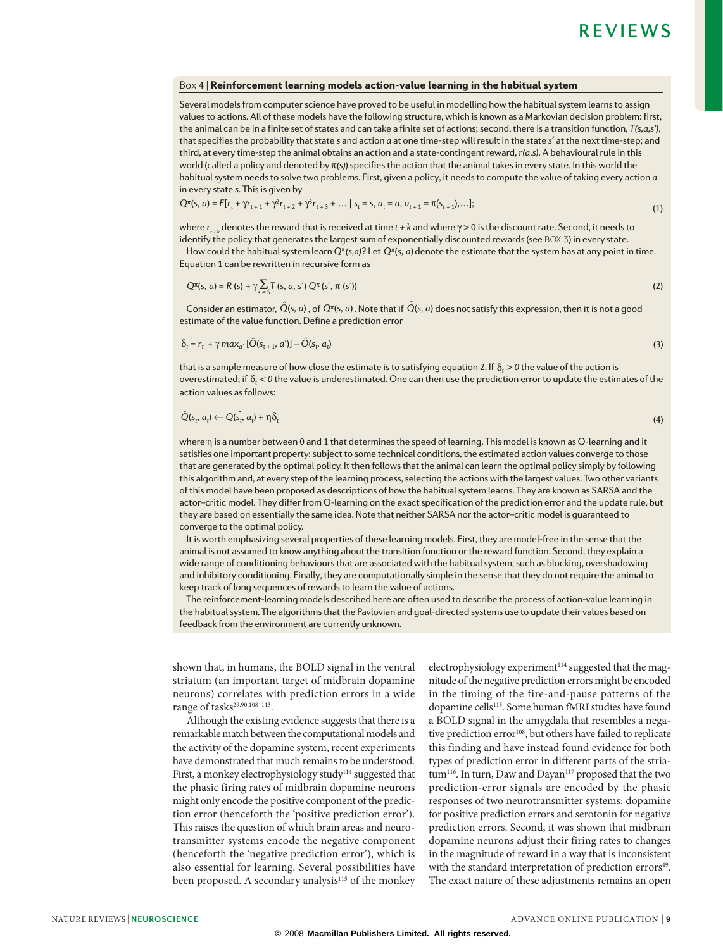#### Box 4 | Reinforcement learning models action-value learning in the habitual system

Several models from computer science have proved to be useful in modelling how the habitual system learns to assign values to actions. All of these models have the following structure, which is known as a Markovian decision problem: first, the animal can be in a finite set of states and can take a finite set of actions; second, there is a transition function, *T(s,a,s')*, that specifies the probability that state *s* and action *a* at one time-step will result in the state *s*′ at the next time-step; and third, at every time-step the animal obtains an action and a state-contingent reward, *r(a,s).* A behavioural rule in this world (called a policy and denoted by π*(s)*) specifies the action that the animal takes in every state. In this world the habitual system needs to solve two problems. First, given a policy, it needs to compute the value of taking every action *a* in every state *s*. This is given by

$$
Q^{\pi}(s, a) = E[r_t + \gamma r_{t+1} + \gamma^2 r_{t+2} + \gamma^3 r_{t+3} + \dots | s_t = s, a_t = a, a_{t+1} = \pi(s_{t+1}), \dots];
$$
\n<sup>(1)</sup>

where *r<sub>th</sub>* denotes the reward that is received at time *t* + *k* and where γ > 0 is the discount rate. Second, it needs to identify the policy that generates the largest sum of exponentially discounted rewards (see BOX 3) in every state.

How could the habitual system learn *Q*<sup>π</sup>(*s,a*)? Let *Q*<sup>π</sup>(*s, a*) denote the estimate that the system has at any point in time. Equation 1 can be rewritten in recursive form as

$$
Q^{\pi}(s, a) = R(s) + \gamma \sum_{s \in S} T(s, a, s') Q^{\pi}(s', \pi(s'))
$$
\n
$$
(2)
$$

Consider an estimator, *Q*(*s, a*) *ˆ* , of *Q*π(*s, a*). Note that if *Q*(*s, a*) *ˆ* does not satisfy this expression, then it is not a good estimate of the value function. Define a prediction error

$$
\delta_t = r_t + \gamma \max_{a'} [\hat{Q}(s_{t+1}, a')] - \hat{Q}(s_t, a_t)
$$
\n(3)

overestimated; if  $\delta_t$  < 0 the value is underestimated. One can then use the prediction error to update the estimates of the that is a sample measure of how close the estimate is to satisfying equation 2. If  $\delta_t$  > 0 the value of the action is action values as follows:

$$
\hat{Q}(s_t, a_t) \leftarrow Q(\hat{s_t}, a_t) + \eta \delta_t \tag{4}
$$

satisfies one important property: subject to some technical conditions, the estimated action values converge to those where η is a number between 0 and 1 that determines the speed of learning. This model is known as Q-learning and it that are generated by the optimal policy. It then follows that the animal can learn the optimal policy simply by following this algorithm and, at every step of the learning process, selecting the actions with the largest values. Two other variants of this model have been proposed as descriptions of how the habitual system learns. They are known as SARSA and the actor–critic model. They differ from Q-learning on the exact specification of the prediction error and the update rule, but they are based on essentially the same idea. Note that neither SARSA nor the actor–critic model is guaranteed to converge to the optimal policy.

It is worth emphasizing several properties of these learning models. First, they are model-free in the sense that the animal is not assumed to know anything about the transition function or the reward function. Second, they explain a wide range of conditioning behaviours that are associated with the habitual system, such as blocking, overshadowing and inhibitory conditioning. Finally, they are computationally simple in the sense that they do not require the animal to keep track of long sequences of rewards to learn the value of actions.

The reinforcement-learning models described here are often used to describe the process of action-value learning in the habitual system. The algorithms that the Pavlovian and goal-directed systems use to update their values based on feedback from the environment are currently unknown.

shown that, in humans, the BOLD signal in the ventral striatum (an important target of midbrain dopamine neurons) correlates with prediction errors in a wide range of tasks<sup>29,90,108-113</sup>.

Although the existing evidence suggests that there is a remarkable match between the computational models and the activity of the dopamine system, recent experiments have demonstrated that much remains to be understood. First, a monkey electrophysiology study<sup>114</sup> suggested that the phasic firing rates of midbrain dopamine neurons might only encode the positive component of the prediction error (henceforth the 'positive prediction error'). This raises the question of which brain areas and neurotransmitter systems encode the negative component (henceforth the 'negative prediction error'), which is also essential for learning. Several possibilities have been proposed. A secondary analysis<sup>115</sup> of the monkey electrophysiology experiment $114$  suggested that the magnitude of the negative prediction errors might be encoded in the timing of the fire-and-pause patterns of the dopamine cells<sup>115</sup>. Some human fMRI studies have found a BOLD signal in the amygdala that resembles a negative prediction error<sup>108</sup>, but others have failed to replicate this finding and have instead found evidence for both types of prediction error in different parts of the striatum<sup>116</sup>. In turn, Daw and Dayan<sup>117</sup> proposed that the two prediction-error signals are encoded by the phasic responses of two neurotransmitter systems: dopamine for positive prediction errors and serotonin for negative prediction errors. Second, it was shown that midbrain dopamine neurons adjust their firing rates to changes in the magnitude of reward in a way that is inconsistent with the standard interpretation of prediction errors<sup>49</sup>. The exact nature of these adjustments remains an open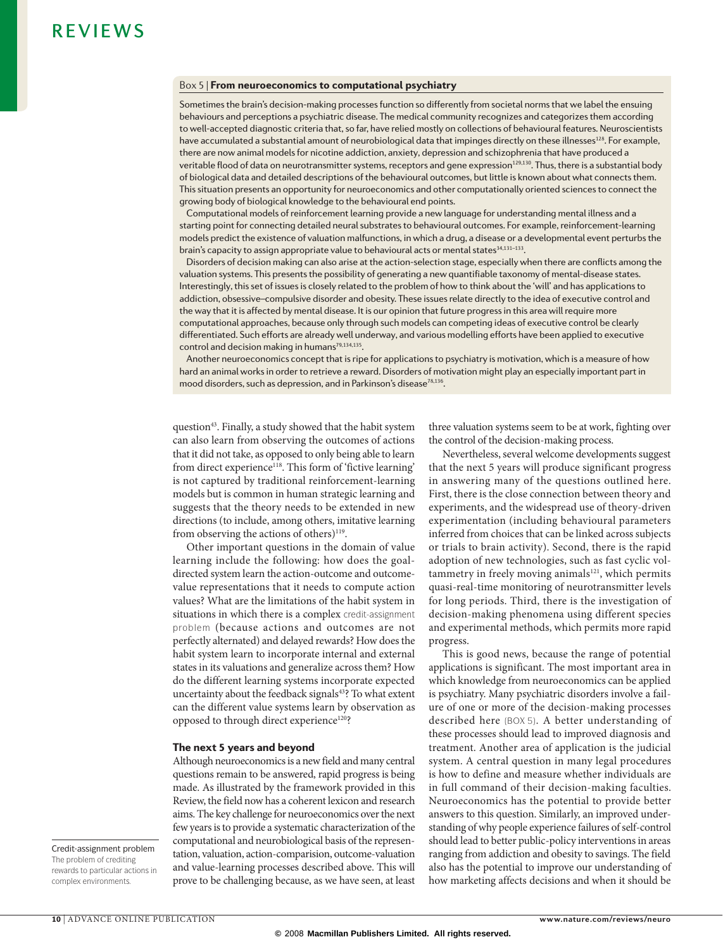#### Box 5 | From neuroeconomics to computational psychiatry

Sometimes the brain's decision-making processes function so differently from societal norms that we label the ensuing behaviours and perceptions a psychiatric disease. The medical community recognizes and categorizes them according to well-accepted diagnostic criteria that, so far, have relied mostly on collections of behavioural features. Neuroscientists have accumulated a substantial amount of neurobiological data that impinges directly on these illnesses<sup>128</sup>. For example, there are now animal models for nicotine addiction, anxiety, depression and schizophrenia that have produced a veritable flood of data on neurotransmitter systems, receptors and gene expression<sup>129,130</sup>. Thus, there is a substantial body of biological data and detailed descriptions of the behavioural outcomes, but little is known about what connects them. This situation presents an opportunity for neuroeconomics and other computationally oriented sciences to connect the growing body of biological knowledge to the behavioural end points.

Computational models of reinforcement learning provide a new language for understanding mental illness and a starting point for connecting detailed neural substrates to behavioural outcomes. For example, reinforcement-learning models predict the existence of valuation malfunctions, in which a drug, a disease or a developmental event perturbs the brain's capacity to assign appropriate value to behavioural acts or mental states<sup>34,131-133</sup>.

Disorders of decision making can also arise at the action-selection stage, especially when there are conflicts among the valuation systems. This presents the possibility of generating a new quantifiable taxonomy of mental-disease states. Interestingly, this set of issues is closely related to the problem of how to think about the 'will' and has applications to addiction, obsessive–compulsive disorder and obesity. These issues relate directly to the idea of executive control and the way that it is affected by mental disease. It is our opinion that future progress in this area will require more computational approaches, because only through such models can competing ideas of executive control be clearly differentiated. Such efforts are already well underway, and various modelling efforts have been applied to executive control and decision making in humans<sup>79,134,135</sup>.

Another neuroeconomics concept that is ripe for applications to psychiatry is motivation, which is a measure of how hard an animal works in order to retrieve a reward. Disorders of motivation might play an especially important part in mood disorders, such as depression, and in Parkinson's disease<sup>78,136</sup>.

question<sup>43</sup>. Finally, a study showed that the habit system can also learn from observing the outcomes of actions that it did not take, as opposed to only being able to learn from direct experience<sup>118</sup>. This form of 'fictive learning' is not captured by traditional reinforcement-learning models but is common in human strategic learning and suggests that the theory needs to be extended in new directions (to include, among others, imitative learning from observing the actions of others)<sup>119</sup>.

Other important questions in the domain of value learning include the following: how does the goaldirected system learn the action-outcome and outcomevalue representations that it needs to compute action values? What are the limitations of the habit system in situations in which there is a complex credit-assignment problem (because actions and outcomes are not perfectly alternated) and delayed rewards? How does the habit system learn to incorporate internal and external states in its valuations and generalize across them? How do the different learning systems incorporate expected uncertainty about the feedback signals<sup>43</sup>? To what extent can the different value systems learn by observation as opposed to through direct experience<sup>120</sup>?

#### The next 5 years and beyond

Although neuroeconomics is a new field and many central questions remain to be answered, rapid progress is being made. As illustrated by the framework provided in this Review, the field now has a coherent lexicon and research aims. The key challenge for neuroeconomics over the next few years is to provide a systematic characterization of the computational and neurobiological basis of the representation, valuation, action-comparision, outcome-valuation and value-learning processes described above. This will prove to be challenging because, as we have seen, at least three valuation systems seem to be at work, fighting over the control of the decision-making process.

Nevertheless, several welcome developments suggest that the next 5 years will produce significant progress in answering many of the questions outlined here. First, there is the close connection between theory and experiments, and the widespread use of theory-driven experimentation (including behavioural parameters inferred from choices that can be linked across subjects or trials to brain activity). Second, there is the rapid adoption of new technologies, such as fast cyclic voltammetry in freely moving animals<sup>121</sup>, which permits quasi-real-time monitoring of neurotransmitter levels for long periods. Third, there is the investigation of decision-making phenomena using different species and experimental methods, which permits more rapid progress.

This is good news, because the range of potential applications is significant. The most important area in which knowledge from neuroeconomics can be applied is psychiatry. Many psychiatric disorders involve a failure of one or more of the decision-making processes described here (BOX 5). A better understanding of these processes should lead to improved diagnosis and treatment. Another area of application is the judicial system. A central question in many legal procedures is how to define and measure whether individuals are in full command of their decision-making faculties. Neuroeconomics has the potential to provide better answers to this question. Similarly, an improved understanding of why people experience failures of self-control should lead to better public-policy interventions in areas ranging from addiction and obesity to savings. The field also has the potential to improve our understanding of how marketing affects decisions and when it should be

Credit-assignment problem The problem of crediting rewards to particular actions in complex environments.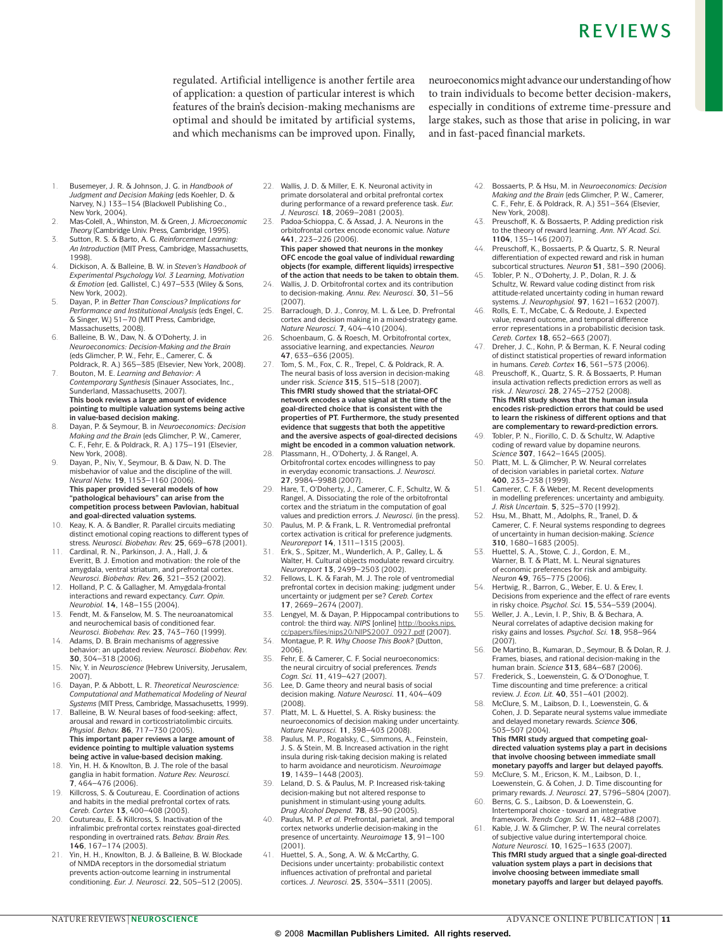regulated. Artificial intelligence is another fertile area of application: a question of particular interest is which features of the brain's decision-making mechanisms are optimal and should be imitated by artificial systems, and which mechanisms can be improved upon. Finally, neuroeconomics might advance our understanding of how to train individuals to become better decision-makers, especially in conditions of extreme time-pressure and large stakes, such as those that arise in policing, in war and in fast-paced financial markets.

- 1. Busemeyer, J. R. & Johnson, J. G. in *Handbook of Judgment and Decision Making* (eds Koehler, D. & Narvey, N.) 133–154 (Blackwell Publishing Co., New York, 2004).
- 2. Mas-Colell, A., Whinston, M. & Green, J. *Microeconomic Theory* (Cambridge Univ. Press, Cambridge, 1995).
- 3. Sutton, R. S. & Barto, A. G. *Reinforcement Learning: An Introduction* (MIT Press, Cambridge, Massachusetts, 1998).
- 4. Dickison, A. & Balleine, B. W. in *Steven's Handbook of Experimental Psychology Vol. 3 Learning, Motivation & Emotion* (ed. Gallistel, C.) 497–533 (Wiley & Sons, New York, 2002).
- 5. Dayan, P. in *Better Than Conscious? Implications for Performance and Institutional Analysis* (eds Engel, C. & Singer, W.) 51–70 (MIT Press, Cambridge, Massachusetts, 2008).
- 6. Balleine, B. W., Daw, N. & O'Doherty, J. in *Neuroeconomics: Decision-Making and the Brain* (eds Glimcher, P. W., Fehr, E., Camerer, C. & Poldrack, R. A.) 365–385 (Elsevier, New York, 2008).
- 7. Bouton, M. E. *Learning and Behavior: A Contemporary Synthesis* (Sinauer Associates, Inc., Sunderland, Massachusetts, 2007). **This book reviews a large amount of evidence pointing to multiple valuation systems being active in value-based decision making.**
- 8. Dayan, P. & Seymour, B. in *Neuroeconomics: Decision Making and the Brain* (eds Glimcher, P. W., Camerer, C. F., Fehr, E. & Poldrack, R. A.) 175–191 (Elsevier, New York, 2008).
- 9. Dayan, P., Niv, Y., Seymour, B. & Daw, N. D. The misbehavior of value and the discipline of the will. *Neural Netw.* **19**, 1153–1160 (2006). **This paper provided several models of how "pathological behaviours" can arise from the competition process between Pavlovian, habitual and goal-directed valuation systems.**
- 10. Keay, K. A. & Bandler, R. Parallel circuits mediating distinct emotional coping reactions to different types of stress. *Neurosci. Biobehav. Rev.* **25**, 669–678 (2001).
- 11. Cardinal, R. N., Parkinson, J. A., Hall, J. & Everitt, B. J. Emotion and motivation: the role of the amygdala, ventral striatum, and prefrontal cortex. *Neurosci. Biobehav. Rev.* **26**, 321–352 (2002).
- 12. Holland, P. C. & Gallagher, M. Amygdala-frontal interactions and reward expectancy. *Curr. Opin. Neurobiol.* **14**, 148–155 (2004).
- 13. Fendt, M. & Fanselow, M. S. The neuroanatomical and neurochemical basis of conditioned fear. *Neurosci. Biobehav. Rev.* **23**, 743–760 (1999).
- 14. Adams, D. B. Brain mechanisms of aggressive behavior: an updated review. *Neurosci. Biobehav. Rev.* **30**, 304–318 (2006).
- 15. Niv, Y. in *Neuroscience* (Hebrew University, Jerusalem, 2007).
- 16. Dayan, P. & Abbott, L. R. *Theoretical Neuroscience: Computational and Mathematical Modeling of Neural Systems* (MIT Press, Cambridge, Massachusetts, 1999).
- 17. Balleine, B. W. Neural bases of food-seeking: affect, arousal and reward in corticostriatolimbic circuits. *Physiol. Behav.* **86**, 717–730 (2005). **This important paper reviews a large amount of evidence pointing to multiple valuation systems being active in value-based decision making.**
- Yin, H. H. & Knowlton, B. J. The role of the basal ganglia in habit formation. *Nature Rev. Neurosci.* **7**, 464–476 (2006).
- 19. Killcross, S. & Coutureau, E. Coordination of actions and habits in the medial prefrontal cortex of rats. *Cereb. Cortex* **13**, 400–408 (2003).
- 20. Coutureau, E. & Killcross, S. Inactivation of the infralimbic prefrontal cortex reinstates goal-directed responding in overtrained rats. *Behav. Brain Res.* **146**, 167–174 (2003).
- 21. Yin, H. H., Knowlton, B. J. & Balleine, B. W. Blockade of NMDA receptors in the dorsomedial striatum prevents action-outcome learning in instrumental conditioning. *Eur. J. Neurosci.* **22**, 505–512 (2005).
- 22. Wallis, J. D. & Miller, E. K. Neuronal activity in primate dorsolateral and orbital prefrontal cortex during performance of a reward preference task. *Eur. J. Neurosci.* **18**, 2069–2081 (2003).
- 23. Padoa-Schioppa, C. & Assad, J. A. Neurons in the orbitofrontal cortex encode economic value. *Nature* **441**, 223–226 (2006). **This paper showed that neurons in the monkey OFC encode the goal value of individual rewarding objects (for example, different liquids) irrespective of the action that needs to be taken to obtain them.**
- 24. Wallis, J. D. Orbitofrontal cortex and its contribution to decision-making. *Annu. Rev. Neurosci.* **30**, 31–56 (2007).
- 25. Barraclough, D. J., Conroy, M. L. & Lee, D. Prefrontal cortex and decision making in a mixed-strategy game. *Nature Neurosci.* **7**, 404–410 (2004).
- 26. Schoenbaum, G. & Roesch, M. Orbitofrontal cortex, associative learning, and expectancies. *Neuron* **47**, 633–636 (2005).
- 27. Tom, S. M., Fox, C. R., Trepel, C. & Poldrack, R. A. The neural basis of loss aversion in decision-making under risk. *Science* **315**, 515–518 (2007). **This fMRI study showed that the striatal-OFC network encodes a value signal at the time of the goal-directed choice that is consistent with the properties of PT. Furthermore, the study presented evidence that suggests that both the appetitive and the aversive aspects of goal-directed decisions might be encoded in a common valuation network.**
- 28. Plassmann, H., O'Doherty, J. & Rangel, A. Orbitofrontal cortex encodes willingness to pay in everyday economic transactions. *J. Neurosci.* **27**, 9984–9988 (2007).
- 29. Hare, T., O'Doherty, J., Camerer, C. F., Schultz, W. & Rangel, A. Dissociating the role of the orbitofrontal cortex and the striatum in the computation of goal values and prediction errors. *J. Neurosci.* (in the press).
- 30. Paulus, M. P. & Frank, L. R. Ventromedial prefrontal cortex activation is critical for preference judgments. *Neuroreport* **14**, 1311–1315 (2003).
- 31. Erk, S., Spitzer, M., Wunderlich, A. P., Galley, L. & Walter, H. Cultural objects modulate reward circuitry. *Neuroreport* **13**, 2499–2503 (2002).
- 32. Fellows, L. K. & Farah, M. J. The role of ventromedial prefrontal cortex in decision making: judgment under uncertainty or judgment per se? *Cereb. Cortex* **17**, 2669–2674 (2007).
- 33. Lengyel, M. & Dayan, P. Hippocampal contributions to control: the third way. *NIPS* [online] [http://books.nips.](http://books.nips.cc/papers/files/nips20/NIPS2007_0927.pdf) [cc/papers/files/nips20/NIPS2007\\_0927.pdf](http://books.nips.cc/papers/files/nips20/NIPS2007_0927.pdf) (2007).
- 34. Montague, P. R. *Why Choose This Book?* (Dutton, 2006).
- 35. Fehr, E. & Camerer, C. F. Social neuroeconomics: the neural circuitry of social preferences. *Trends Cogn. Sci.* **11**, 419–427 (2007).
- 36. Lee, D. Game theory and neural basis of social decision making. *Nature Neurosci.* **11**, 404–409 (2008).
- 37. Platt, M. L. & Huettel, S. A. Risky business: the neuroeconomics of decision making under uncertainty. *Nature Neurosci.* **11**, 398–403 (2008).
- 38. Paulus, M. P., Rogalsky, C., Simmons, A., Feinstein, J. S. & Stein, M. B. Increased activation in the right insula during risk-taking decision making is related to harm avoidance and neuroticism. *Neuroimage* **19**, 1439–1448 (2003).
- 39. Leland, D. S. & Paulus, M. P. Increased risk-taking decision-making but not altered response to punishment in stimulant-using young adults. *Drug Alcohol Depend.* **78**, 83–90 (2005).
- Paulus, M. P. et al. Prefrontal, parietal, and temporal cortex networks underlie decision-making in the presence of uncertainty. *Neuroimage* **13**, 91–100 (2001).
- 41. Huettel, S. A., Song, A. W. & McCarthy, G. Decisions under uncertainty: probabilistic context influences activation of prefrontal and parietal cortices. *J. Neurosci.* **25**, 3304–3311 (2005).
- 42. Bossaerts, P. & Hsu, M. in *Neuroeconomics: Decision Making and the Brain* (eds Glimcher, P. W., Camerer, C. F., Fehr, E. & Poldrack, R. A.) 351–364 (Elsevier, New York, 2008).
- 43. Preuschoff, K. & Bossaerts, P. Adding prediction risk to the theory of reward learning. *Ann. NY Acad. Sci.* **1104**, 135–146 (2007).
- 44. Preuschoff, K., Bossaerts, P. & Quartz, S. R. Neural differentiation of expected reward and risk in human subcortical structures. *Neuron* **51**, 381–390 (2006).
- 45. Tobler, P. N., O'Doherty, J. P., Dolan, R. J. & Schultz, W. Reward value coding distinct from risk attitude-related uncertainty coding in human reward systems. *J. Neurophysiol.* **97**, 1621–1632 (2007).
- 46. Rolls, E. T., McCabe, C. & Redoute, J. Expected value, reward outcome, and temporal difference error representations in a probabilistic decision task. *Cereb. Cortex* **18**, 652–663 (2007).
- 47. Dreher, J. C., Kohn, P. & Berman, K. F. Neural coding of distinct statistical properties of reward information in humans. *Cereb. Cortex* **16**, 561–573 (2006).
- 48. Preuschoff, K., Quartz, S. R. & Bossaerts, P. Human insula activation reflects prediction errors as well as risk. *J. Neurosci.* **28**, 2745–2752 (2008). **This fMRI study shows that the human insula encodes risk-prediction errors that could be used to learn the riskiness of different options and that are complementary to reward-prediction errors.**
- 49. Tobler, P. N., Fiorillo, C. D. & Schultz, W. Adaptive coding of reward value by dopamine neurons. *Science* **307**, 1642–1645 (2005).
- 50. Platt, M. L. & Glimcher, P. W. Neural correlates of decision variables in parietal cortex. *Nature* **400**, 233–238 (1999).
- 51. Camerer, C. F. & Weber, M. Recent developments in modelling preferences: uncertainty and ambiguity. *J. Risk Uncertain.* **5**, 325–370 (1992).
- 52. Hsu, M., Bhatt, M., Adolphs, R., Tranel, D. & Camerer, C. F. Neural systems responding to degrees of uncertainty in human decision-making. *Science* **310**, 1680–1683 (2005).
- 53. Huettel, S. A., Stowe, C. J., Gordon, E. M., Warner, B. T. & Platt, M. L. Neural signatures of economic preferences for risk and ambiguity. *Neuron* **49**, 765–775 (2006).
- Hertwig, R., Barron, G., Weber, E. U. & Erev, I. Decisions from experience and the effect of rare events in risky choice. *Psychol. Sci.* **15**, 534–539 (2004).
- 55. Weller, J. A., Levin, I. P., Shiv, B. & Bechara, A. Neural correlates of adaptive decision making for risky gains and losses. *Psychol. Sci.* **18**, 958–964 (2007).
- 56. De Martino, B., Kumaran, D., Seymour, B. & Dolan, R. J. Frames, biases, and rational decision-making in the human brain. *Science* **313**, 684–687 (2006).
- 57. Frederick, S., Loewenstein, G. & O'Donoghue, T. Time discounting and time preference: a critical review. *J. Econ. Lit.* **40**, 351–401 (2002).
- 58. McClure, S. M., Laibson, D. L. Loewenstein, G. & Cohen, J. D. Separate neural systems value immediate and delayed monetary rewards. *Science* **306**, 503–507 (2004). **This fMRI study argued that competing goal-**

**directed valuation systems play a part in decisions that involve choosing between immediate small monetary payoffs and larger but delayed payoffs.**

- 59. McClure, S. M., Ericson, K. M., Laibson, D. I., Loewenstein, G. & Cohen, J. D. Time discounting for primary rewards. *J. Neurosci.* **27**, 5796–5804 (2007).
- 60. Berns, G. S., Laibson, D. & Loewenstein, G. Intertemporal choice - toward an integrative framework. *Trends Cogn. Sci.* **11**, 482–488 (2007).
- Kable, J. W. & Glimcher, P. W. The neural correlates of subjective value during intertemporal choice. *Nature Neurosci.* **10**, 1625–1633 (2007). **This fMRI study argued that a single goal-directed valuation system plays a part in decisions that involve choosing between immediate small monetary payoffs and larger but delayed payoffs.**